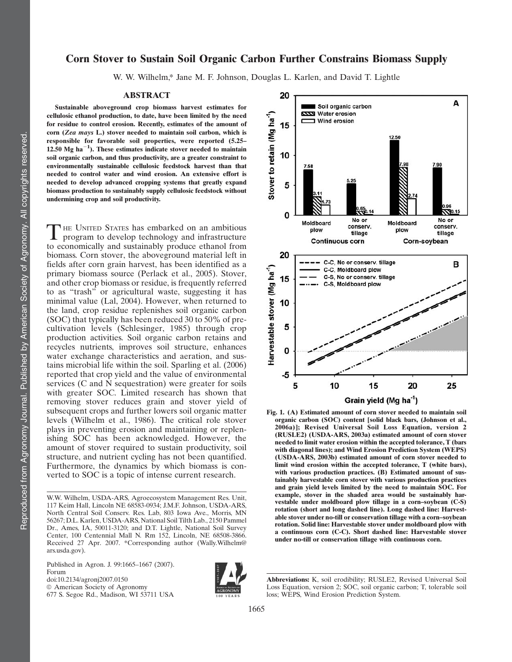## Corn Stover to Sustain Soil Organic Carbon Further Constrains Biomass Supply

W. W. Wilhelm,\* Jane M. F. Johnson, Douglas L. Karlen, and David T. Lightle

## ABSTRACT

Sustainable aboveground crop biomass harvest estimates for cellulosic ethanol production, to date, have been limited by the need for residue to control erosion. Recently, estimates of the amount of corn (Zea mays L.) stover needed to maintain soil carbon, which is responsible for favorable soil properties, were reported (5.25–  $12.50$  Mg ha<sup> $-1$ </sup>). These estimates indicate stover needed to maintain soil organic carbon, and thus productivity, are a greater constraint to environmentally sustainable cellulosic feedstock harvest than that needed to control water and wind erosion. An extensive effort is needed to develop advanced cropping systems that greatly expand biomass production to sustainably supply cellulosic feedstock without undermining crop and soil productivity.

THE UNITED STATES has embarked on an ambitious<br>program to develop technology and infrastructure to economically and sustainably produce ethanol from biomass. Corn stover, the aboveground material left in fields after corn grain harvest, has been identified as a primary biomass source (Perlack et al., 2005). Stover, and other crop biomass or residue, is frequently referred to as "trash" or agricultural waste, suggesting it has minimal value (Lal, 2004). However, when returned to the land, crop residue replenishes soil organic carbon (SOC) that typically has been reduced 30 to 50% of precultivation levels (Schlesinger, 1985) through crop production activities. Soil organic carbon retains and recycles nutrients, improves soil structure, enhances water exchange characteristics and aeration, and sustains microbial life within the soil. Sparling et al. (2006) reported that crop yield and the value of environmental services (C and N sequestration) were greater for soils with greater SOC. Limited research has shown that removing stover reduces grain and stover yield of subsequent crops and further lowers soil organic matter levels (Wilhelm et al., 1986). The critical role stover plays in preventing erosion and maintaining or replenishing SOC has been acknowledged. However, the amount of stover required to sustain productivity, soil structure, and nutrient cycling has not been quantified. Furthermore, the dynamics by which biomass is converted to SOC is a topic of intense current research.

Published in Agron. J. 99:1665–1667 (2007). Forum doi:10.2134/agronj2007.0150  $@$  American Society of Agronomy 677 S. Segoe Rd., Madison, WI 53711 USA





Fig. 1. (A) Estimated amount of corn stover needed to maintain soil organic carbon (SOC) content [solid black bars, (Johnson et al., 2006a)]; Revised Universal Soil Loss Equation, version 2 (RUSLE2) (USDA-ARS, 2003a) estimated amount of corn stover needed to limit water erosion within the accepted tolerance, T (bars with diagonal lines); and Wind Erosion Prediction System (WEPS) (USDA-ARS, 2003b) estimated amount of corn stover needed to limit wind erosion within the accepted tolerance, T (white bars), with various production practices. (B) Estimated amount of sustainably harvestable corn stover with various production practices and grain yield levels limited by the need to maintain SOC. For example, stover in the shaded area would be sustainably harvestable under moldboard plow tillage in a corn–soybean (C-S) rotation (short and long dashed line). Long dashed line: Harvestable stover under no-till or conservation tillage with a corn–soybean rotation. Solid line: Harvestable stover under moldboard plow with a continuous corn (C-C). Short dashed line: Harvestable stover under no-till or conservation tillage with continuous corn.

Abbreviations: K, soil erodibility; RUSLE2, Revised Universal Soil Loss Equation, version 2; SOC, soil organic carbon; T, tolerable soil loss; WEPS, Wind Erosion Prediction System.

W.W. Wilhelm, USDA-ARS, Agroecosystem Management Res. Unit, 117 Keim Hall, Lincoln NE 68583-0934; J.M.F. Johnson, USDA-ARS, North Central Soil Conserv. Res. Lab, 803 Iowa Ave., Morris, MN 56267; D.L. Karlen, USDA-ARS, National Soil Tilth Lab., 2150 Pammel Dr., Ames, IA, 50011-3120; and D.T. Lightle, National Soil Survey Center, 100 Centennial Mall N. Rm 152, Lincoln, NE 68508-3866. Received 27 Apr. 2007. \*Corresponding author (Wally.Wilhelm@ ars.usda.gov).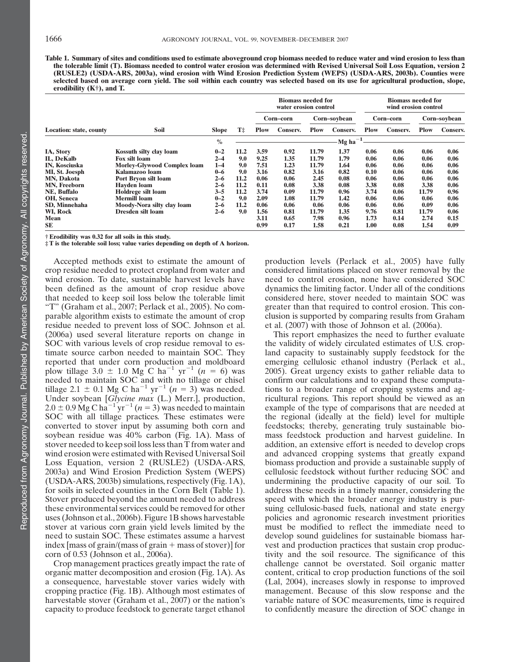Table 1. Summary of sites and conditions used to estimate aboveground crop biomass needed to reduce water and wind erosion to less than the tolerable limit (T). Biomass needed to control water erosion was determined with Revised Universal Soil Loss Equation, version 2 (RUSLE2) (USDA-ARS, 2003a), wind erosion with Wind Erosion Prediction System (WEPS) (USDA-ARS, 2003b). Counties were selected based on average corn yield. The soil within each country was selected based on its use for agricultural production, slope, erodibility (K†), and T.

| Location: state, county | Soil                               | <b>Slope</b>  | T‡   | <b>Biomass needed for</b><br>water erosion control |          |              |               | <b>Biomass needed for</b><br>wind erosion control |          |              |          |
|-------------------------|------------------------------------|---------------|------|----------------------------------------------------|----------|--------------|---------------|---------------------------------------------------|----------|--------------|----------|
|                         |                                    |               |      | Corn-corn                                          |          | Corn-soybean |               | Corn–corn                                         |          | Corn-soybean |          |
|                         |                                    |               |      | Plow                                               | Conserv. | Plow         | Conserv.      | Plow                                              | Conserv. | <b>Plow</b>  | Conserv. |
|                         |                                    | $\frac{0}{0}$ |      |                                                    |          |              | $-1$<br>Mg ha |                                                   |          |              |          |
| IA, Story               | Kossuth silty clay loam            | $0 - 2$       | 11.2 | 3.59                                               | 0.92     | 11.79        | 1.37          | 0.06                                              | 0.06     | 0.06         | 0.06     |
| IL, DeKalb              | Fox silt loam                      | $2 - 4$       | 9.0  | 9.25                                               | 1.35     | 11.79        | 1.79          | 0.06                                              | 0.06     | 0.06         | 0.06     |
| <b>IN. Kosciuska</b>    | <b>Morley-Glywood Complex loam</b> | $1 - 4$       | 9.0  | 7.51                                               | 1.23     | 11.79        | 1.64          | 0.06                                              | 0.06     | 0.06         | 0.06     |
| MI, St. Joesph          | Kalamazoo loam                     | $0 - 6$       | 9.0  | 3.16                                               | 0.82     | 3.16         | 0.82          | 0.10                                              | 0.06     | 0.06         | 0.06     |
| MN, Dakota              | Port Bryon silt loam               | $2 - 6$       | 11.2 | 0.06                                               | 0.06     | 2.45         | 0.08          | 0.06                                              | 0.06     | 0.06         | 0.06     |
| MN, Freeborn            | <b>Havden</b> loam                 | $2 - 6$       | 11.2 | 0.11                                               | 0.08     | 3.38         | 0.08          | 3.38                                              | 0.08     | 3.38         | 0.06     |
| NE, Buffalo             | Holdrege silt loam                 | $3 - 5$       | 11.2 | 3.74                                               | 0.09     | 11.79        | 0.96          | 3.74                                              | 0.06     | 11.79        | 0.96     |
| OH, Seneca              | Mermill loam                       | $0 - 2$       | 9.0  | 2.09                                               | 1.08     | 11.79        | 1.42          | 0.06                                              | 0.06     | 0.06         | 0.06     |
| <b>SD. Minnehaha</b>    | Moody-Nora silty clay loam         | $2 - 6$       | 11.2 | 0.06                                               | 0.06     | 0.06         | 0.06          | 0.06                                              | 0.06     | 0.09         | 0.06     |
| WI, Rock                | <b>Dresden silt loam</b>           | $2 - 6$       | 9.0  | 1.56                                               | 0.81     | 11.79        | 1.35          | 9.76                                              | 0.81     | 11.79        | 0.06     |
| Mean                    |                                    |               |      | 3.11                                               | 0.65     | 7.98         | 0.96          | 1.73                                              | 0.14     | 2.74         | 0.15     |
| SE                      |                                    |               |      | 0.99                                               | 0.17     | 1.58         | 0.21          | 1.00                                              | 0.08     | 1.54         | 0.09     |

† Erodibility was 0.32 for all soils in this study.

‡ T is the tolerable soil loss; value varies depending on depth of A horizon.

Accepted methods exist to estimate the amount of crop residue needed to protect cropland from water and wind erosion. To date, sustainable harvest levels have been defined as the amount of crop residue above that needed to keep soil loss below the tolerable limit "T" (Graham et al., 2007; Perlack et al., 2005). No comparable algorithm exists to estimate the amount of crop residue needed to prevent loss of SOC. Johnson et al. (2006a) used several literature reports on change in SOC with various levels of crop residue removal to estimate source carbon needed to maintain SOC. They reported that under corn production and moldboard plow tillage 3.0  $\pm$  1.0 Mg C ha<sup>-1</sup> yr<sup>-1</sup> (n = 6) was needed to maintain SOC and with no tillage or chisel tillage 2.1  $\pm$  0.1 Mg C ha<sup>-1</sup> yr<sup>-1</sup> (n = 3) was needed. Under soybean [Glycine max (L.) Merr.], production,  $2.0 \pm 0.9$  Mg C ha<sup>-1</sup> yr<sup>-1</sup> (n = 3) was needed to maintain SOC with all tillage practices. These estimates were converted to stover input by assuming both corn and soybean residue was 40% carbon (Fig. 1A). Mass of stover needed to keep soil loss less than T from water and wind erosion were estimated with Revised Universal Soil Loss Equation, version 2 (RUSLE2) (USDA-ARS, 2003a) and Wind Erosion Prediction System (WEPS) (USDA-ARS, 2003b) simulations, respectively (Fig. 1A), for soils in selected counties in the Corn Belt (Table 1). Stover produced beyond the amount needed to address these environmental services could be removed for other uses (Johnson et al., 2006b). Figure 1B shows harvestable stover at various corn grain yield levels limited by the need to sustain SOC. These estimates assume a harvest index [mass of grain/(mass of grain  $+$  mass of stover)] for corn of 0.53 (Johnson et al., 2006a).

Crop management practices greatly impact the rate of organic matter decomposition and erosion (Fig. 1A). As a consequence, harvestable stover varies widely with cropping practice (Fig. 1B). Although most estimates of harvestable stover (Graham et al., 2007) or the nation's capacity to produce feedstock to generate target ethanol production levels (Perlack et al., 2005) have fully considered limitations placed on stover removal by the need to control erosion, none have considered SOC dynamics the limiting factor. Under all of the conditions considered here, stover needed to maintain SOC was greater than that required to control erosion. This conclusion is supported by comparing results from Graham et al. (2007) with those of Johnson et al. (2006a).

This report emphasizes the need to further evaluate the validity of widely circulated estimates of U.S. cropland capacity to sustainably supply feedstock for the emerging cellulosic ethanol industry (Perlack et al., 2005). Great urgency exists to gather reliable data to confirm our calculations and to expand these computations to a broader range of cropping systems and agricultural regions. This report should be viewed as an example of the type of comparisons that are needed at the regional (ideally at the field) level for multiple feedstocks; thereby, generating truly sustainable biomass feedstock production and harvest guideline. In addition, an extensive effort is needed to develop crops and advanced cropping systems that greatly expand biomass production and provide a sustainable supply of cellulosic feedstock without further reducing SOC and undermining the productive capacity of our soil. To address these needs in a timely manner, considering the speed with which the broader energy industry is pursuing cellulosic-based fuels, national and state energy policies and agronomic research investment priorities must be modified to reflect the immediate need to develop sound guidelines for sustainable biomass harvest and production practices that sustain crop productivity and the soil resource. The significance of this challenge cannot be overstated. Soil organic matter content, critical to crop production functions of the soil (Lal, 2004), increases slowly in response to improved management. Because of this slow response and the variable nature of SOC measurements, time is required to confidently measure the direction of SOC change in